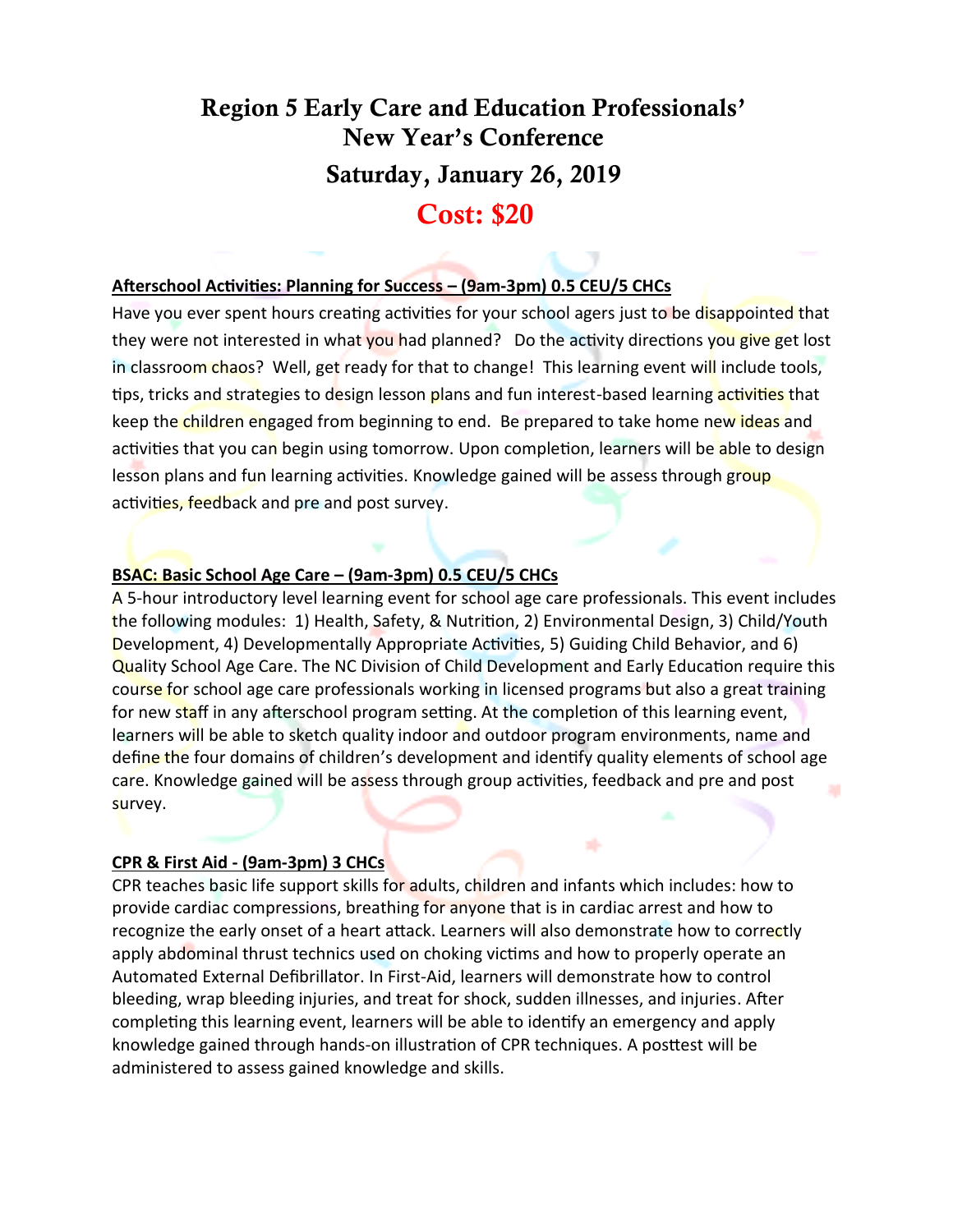# Region 5 Early Care and Education Professionals' New Year's Conference Saturday, January 26, 2019 Cost: \$20

# **Afterschool Activities: Planning for Success – (9am-3pm) 0.5 CEU/5 CHCs**

Have you ever spent hours creating activities for your school agers just to be disappointed that they were not interested in what you had planned? Do the activity directions you give get lost in classroom chaos? Well, get ready for that to change! This learning event will include tools, tips, tricks and strategies to design lesson plans and fun interest-based learning activities that keep the children engaged from beginning to end. Be prepared to take home new ideas and activities that you can begin using tomorrow. Upon completion, learners will be able to design lesson plans and fun learning activities. Knowledge gained will be assess through group activities, feedback and pre and post survey.

### **BSAC: Basic School Age Care – (9am-3pm) 0.5 CEU/5 CHCs**

A 5-hour introductory level learning event for school age care professionals. This event includes the following modules: 1) Health, Safety, & Nutrition, 2) Environmental Design, 3) Child/Youth Development, 4) Developmentally Appropriate Activities, 5) Guiding Child Behavior, and 6) Quality School Age Care. The NC Division of Child Development and Early Education require this course for school age care professionals working in licensed programs but also a great training for new staff in any afterschool program setting. At the completion of this learning event, learners will be able to sketch quality indoor and outdoor program environments, name and define the four domains of children's development and identify quality elements of school age care. Knowledge gained will be assess through group activities, feedback and pre and post survey.

#### **[CPR & First Aid](https://reg.abcsignup.com/reg/event_page.aspx?ek=0052-0007-f3b66133399148389748683c79f73855) - (9am-3pm) 3 CHCs**

CPR teaches basic life support skills for adults, children and infants which includes: how to provide cardiac compressions, breathing for anyone that is in cardiac arrest and how to recognize the early onset of a heart attack. Learners will also demonstrate how to correctly apply abdominal thrust technics used on choking victims and how to properly operate an Automated External Defibrillator. In First-Aid, learners will demonstrate how to control bleeding, wrap bleeding injuries, and treat for shock, sudden illnesses, and injuries. After completing this learning event, learners will be able to identify an emergency and apply knowledge gained through hands-on illustration of CPR techniques. A posttest will be administered to assess gained knowledge and skills.